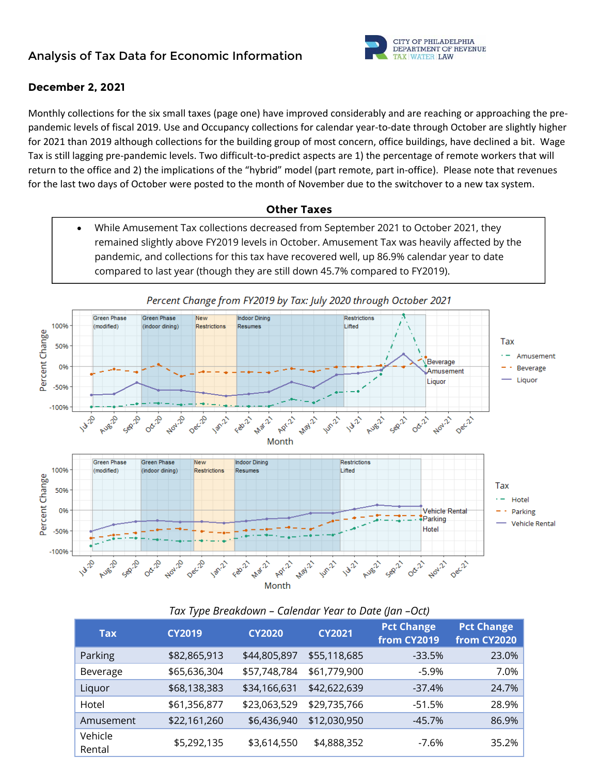# **Analysis of Tax Data for Economic Information**



### **December 2, 2021**

Monthly collections for the six small taxes (page one) have improved considerably and are reaching or approaching the pre‐ pandemic levels of fiscal 2019. Use and Occupancy collections for calendar year-to-date through October are slightly higher for 2021 than 2019 although collections for the building group of most concern, office buildings, have declined a bit. Wage Tax is still lagging pre‐pandemic levels. Two difficult‐to‐predict aspects are 1) the percentage of remote workers that will return to the office and 2) the implications of the "hybrid" model (part remote, part in-office). Please note that revenues for the last two days of October were posted to the month of November due to the switchover to a new tax system.

#### **Other Taxes**

 While Amusement Tax collections decreased from September 2021 to October 2021, they remained slightly above FY2019 levels in October. Amusement Tax was heavily affected by the pandemic, and collections for this tax have recovered well, up 86.9% calendar year to date compared to last year (though they are still down 45.7% compared to FY2019).



### *Tax Type Breakdown – Calendar Year to Date (Jan –Oct)*

| <b>Tax</b>        | <b>CY2019</b> | <b>CY2020</b> | <b>CY2021</b> | <b>Pct Change</b><br>from CY2019 | <b>Pct Change</b><br>from CY2020 |
|-------------------|---------------|---------------|---------------|----------------------------------|----------------------------------|
| Parking           | \$82,865,913  | \$44,805,897  | \$55,118,685  | $-33.5%$                         | 23.0%                            |
| Beverage          | \$65,636,304  | \$57,748,784  | \$61,779,900  | -5.9%                            | 7.0%                             |
| Liquor            | \$68,138,383  | \$34,166,631  | \$42,622,639  | $-37.4%$                         | 24.7%                            |
| Hotel             | \$61,356,877  | \$23,063,529  | \$29,735,766  | -51.5%                           | 28.9%                            |
| Amusement         | \$22,161,260  | \$6,436,940   | \$12,030,950  | $-45.7%$                         | 86.9%                            |
| Vehicle<br>Rental | \$5,292,135   | \$3,614,550   | \$4,888,352   | $-7.6\%$                         | 35.2%                            |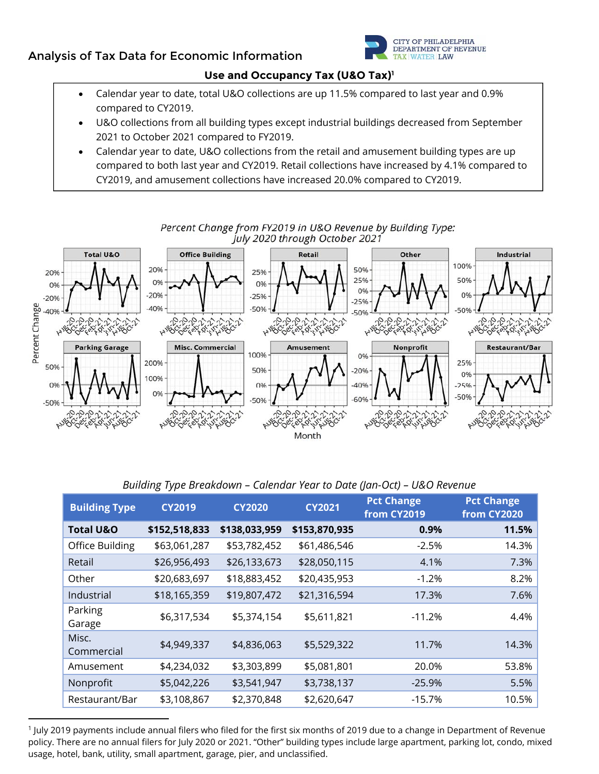# **Analysis of Tax Data for Economic Information**



#### **Use and Occupancy Tax (U&O Tax)1**

- Calendar year to date, total U&O collections are up 11.5% compared to last year and 0.9% compared to CY2019.
- U&O collections from all building types except industrial buildings decreased from September 2021 to October 2021 compared to FY2019.
- Calendar year to date, U&O collections from the retail and amusement building types are up compared to both last year and CY2019. Retail collections have increased by 4.1% compared to CY2019, and amusement collections have increased 20.0% compared to CY2019.



Percent Change from FY2019 in U&O Revenue by Building Type: July 2020 through October 2021

*Building Type Breakdown – Calendar Year to Date (Jan-Oct) – U&O Revenue* 

| <b>Building Type</b> | <b>CY2019</b> | <b>CY2020</b> | <b>CY2021</b> | <b>Pct Change</b><br>from CY2019 | <b>Pct Change</b><br>from CY2020 |
|----------------------|---------------|---------------|---------------|----------------------------------|----------------------------------|
| <b>Total U&amp;O</b> | \$152,518,833 | \$138,033,959 | \$153,870,935 | 0.9%                             | 11.5%                            |
| Office Building      | \$63,061,287  | \$53,782,452  | \$61,486,546  | $-2.5%$                          | 14.3%                            |
| Retail               | \$26,956,493  | \$26,133,673  | \$28,050,115  | 4.1%                             | 7.3%                             |
| Other                | \$20,683,697  | \$18,883,452  | \$20,435,953  | $-1.2%$                          | 8.2%                             |
| Industrial           | \$18,165,359  | \$19,807,472  | \$21,316,594  | 17.3%                            | 7.6%                             |
| Parking<br>Garage    | \$6,317,534   | \$5,374,154   | \$5,611,821   | $-11.2%$                         | 4.4%                             |
| Misc.<br>Commercial  | \$4,949,337   | \$4,836,063   | \$5,529,322   | 11.7%                            | 14.3%                            |
| Amusement            | \$4,234,032   | \$3,303,899   | \$5,081,801   | 20.0%                            | 53.8%                            |
| Nonprofit            | \$5,042,226   | \$3,541,947   | \$3,738,137   | $-25.9%$                         | 5.5%                             |
| Restaurant/Bar       | \$3,108,867   | \$2,370,848   | \$2,620,647   | -15.7%                           | 10.5%                            |

 1 July 2019 payments include annual filers who filed for the first six months of 2019 due to a change in Department of Revenue policy. There are no annual filers for July 2020 or 2021. "Other" building types include large apartment, parking lot, condo, mixed usage, hotel, bank, utility, small apartment, garage, pier, and unclassified.